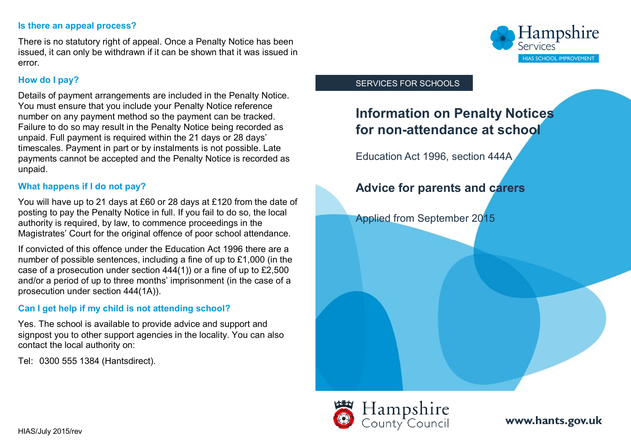#### **Is there an appeal process?**

There is no statutory right of appeal. Once a Penalty Notice has been issued, it can only be withdrawn if it can be shown that it was issued in error.

## **How do I pay?**

Details of payment arrangements are included in the Penalty Notice. You must ensure that you include your Penalty Notice reference number on any payment method so the payment can be tracked. Failure to do so may result in the Penalty Notice being recorded as unpaid. Full payment is required within the 21 days or 28 days' timescales. Payment in part or by instalments is not possible. Late payments cannot be accepted and the Penalty Notice is recorded as unpaid.

## **What happens if I do not pay?**

You will have up to 21 days at £60 or 28 days at £120 from the date of posting to pay the Penalty Notice in full. If you fail to do so, the local authority is required, by law, to commence proceedings in the Magistrates' Court for the original offence of poor school attendance.

If convicted of this offence under the Education Act 1996 there are a number of possible sentences, including a fine of up to £1,000 (in the case of a prosecution under section 444(1)) or a fine of up to £2,500 and/or a period of up to three months' imprisonment (in the case of a prosecution under section 444(1A)).

## **Can I get help if my child is not attending school?**

Yes. The school is available to provide advice and support and signpost you to other support agencies in the locality. You can also contact the local authority on:

Tel: 0300 555 1384 (Hantsdirect).



#### SERVICES FOR SCHOOLS

# **Information on Penalty Notices for non-attendance at school**

Education Act 1996, section 444A

## **Advice for parents and carers**

Applied from September 2015



**[www.hants.gov.uk](http://www.hants.gov.uk)**